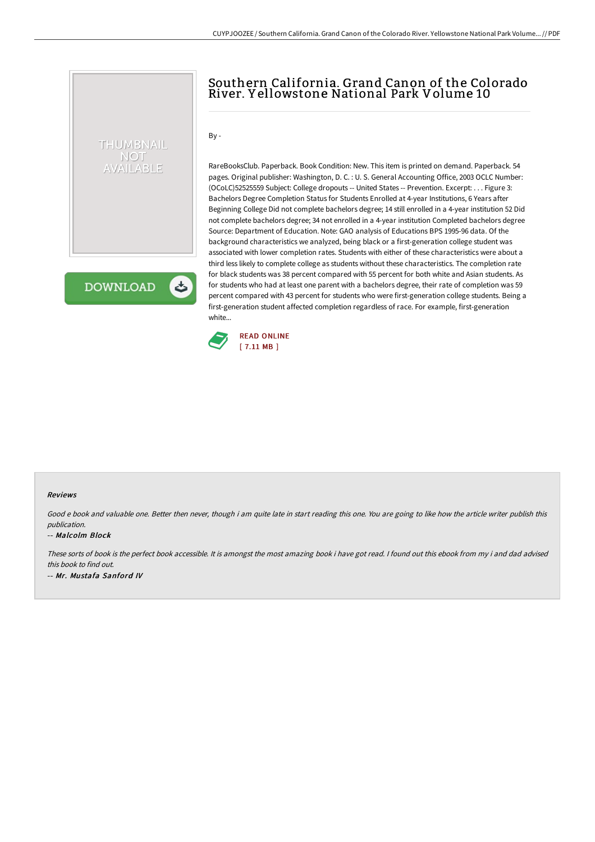## Southern California. Grand Canon of the Colorado River. Y ellowstone National Park Volume 10

 $By -$ 

THUMBNAIL NOT AVAILABLE

**DOWNLOAD** 

ٹ

RareBooksClub. Paperback. Book Condition: New. This item is printed on demand. Paperback. 54 pages. Original publisher: Washington, D. C. : U. S. General Accounting Office, 2003 OCLC Number: (OCoLC)52525559 Subject: College dropouts -- United States -- Prevention. Excerpt: . . . Figure 3: Bachelors Degree Completion Status for Students Enrolled at 4-year Institutions, 6 Years after Beginning College Did not complete bachelors degree; 14 still enrolled in a 4-year institution 52 Did not complete bachelors degree; 34 not enrolled in a 4-year institution Completed bachelors degree Source: Department of Education. Note: GAO analysis of Educations BPS 1995-96 data. Of the background characteristics we analyzed, being black or a first-generation college student was associated with lower completion rates. Students with either of these characteristics were about a third less likely to complete college as students without these characteristics. The completion rate for black students was 38 percent compared with 55 percent for both white and Asian students. As for students who had at least one parent with a bachelors degree, their rate of completion was 59 percent compared with 43 percent for students who were first-generation college students. Being a first-generation student affected completion regardless of race. For example, first-generation white...



## Reviews

Good e book and valuable one. Better then never, though i am quite late in start reading this one. You are going to like how the article writer publish this publication.

## -- Malcolm Block

These sorts of book is the perfect book accessible. It is amongst the most amazing book i have got read. <sup>I</sup> found out this ebook from my i and dad advised this book to find out. -- Mr. Mustafa Sanford IV